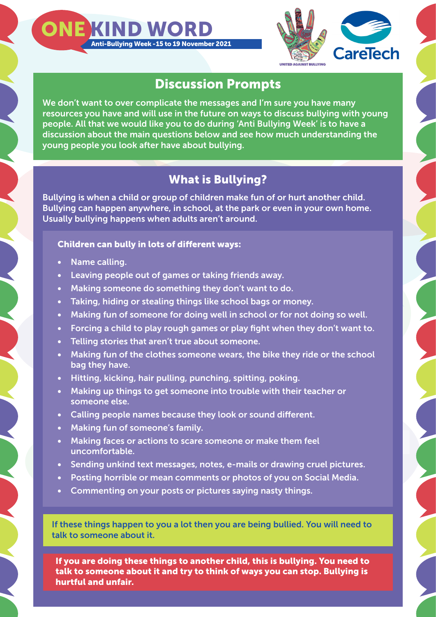



## Discussion Prompts

We don't want to over complicate the messages and I'm sure you have many resources you have and will use in the future on ways to discuss bullying with young people. All that we would like you to do during 'Anti Bullying Week' is to have a discussion about the main questions below and see how much understanding the young people you look after have about bullying.

# What is Bullying?

Bullying is when a child or group of children make fun of or hurt another child. Bullying can happen anywhere, in school, at the park or even in your own home. Usually bullying happens when adults aren't around.

#### Children can bully in lots of different ways:

- Name calling.
- Leaving people out of games or taking friends away.
- Making someone do something they don't want to do.
- Taking, hiding or stealing things like school bags or money.
- Making fun of someone for doing well in school or for not doing so well.
- Forcing a child to play rough games or play fight when they don't want to.
- Telling stories that aren't true about someone.
- Making fun of the clothes someone wears, the bike they ride or the school bag they have.
- Hitting, kicking, hair pulling, punching, spitting, poking.
- Making up things to get someone into trouble with their teacher or someone else.
- Calling people names because they look or sound different.
- Making fun of someone's family.
- Making faces or actions to scare someone or make them feel uncomfortable.
- Sending unkind text messages, notes, e-mails or drawing cruel pictures.
- Posting horrible or mean comments or photos of you on Social Media.
- Commenting on your posts or pictures saying nasty things.

If these things happen to you a lot then you are being bullied. You will need to talk to someone about it.

If you are doing these things to another child, this is bullying. You need to talk to someone about it and try to think of ways you can stop. Bullying is hurtful and unfair.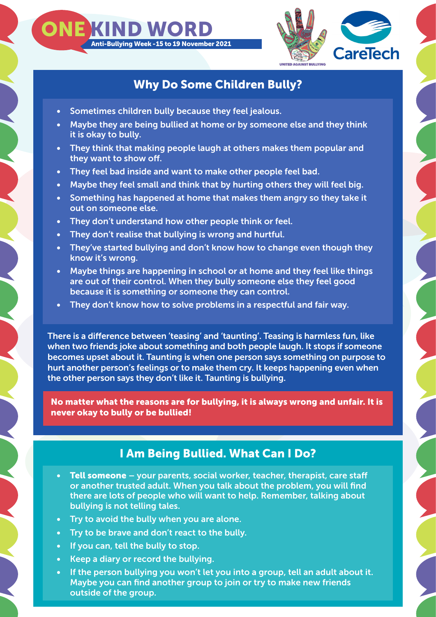

### Why Do Some Children Bully?

Sometimes children bully because they feel jealous.

Anti-Bullying Week - 15 to 19 November 2021

ONE KIND WOR

- Maybe they are being bullied at home or by someone else and they think it is okay to bully.
- They think that making people laugh at others makes them popular and they want to show off.
- They feel bad inside and want to make other people feel bad.
- Maybe they feel small and think that by hurting others they will feel big.
- Something has happened at home that makes them angry so they take it out on someone else.
- They don't understand how other people think or feel.
- They don't realise that bullying is wrong and hurtful.
- They've started bullying and don't know how to change even though they know it's wrong.
- Maybe things are happening in school or at home and they feel like things are out of their control. When they bully someone else they feel good because it is something or someone they can control.
- They don't know how to solve problems in a respectful and fair way.

There is a difference between 'teasing' and 'taunting'. Teasing is harmless fun, like when two friends joke about something and both people laugh. It stops if someone becomes upset about it. Taunting is when one person says something on purpose to hurt another person's feelings or to make them cry. It keeps happening even when the other person says they don't like it. Taunting is bullying.

No matter what the reasons are for bullying, it is always wrong and unfair. It is never okay to bully or be bullied!

#### I Am Being Bullied. What Can I Do?

- Tell someone your parents, social worker, teacher, therapist, care staff or another trusted adult. When you talk about the problem, you will find there are lots of people who will want to help. Remember, talking about bullying is not telling tales.
- Try to avoid the bully when you are alone.
- Try to be brave and don't react to the bully.
- If you can, tell the bully to stop.
- Keep a diary or record the bullying.
- If the person bullying you won't let you into a group, tell an adult about it. Maybe you can find another group to join or try to make new friends outside of the group.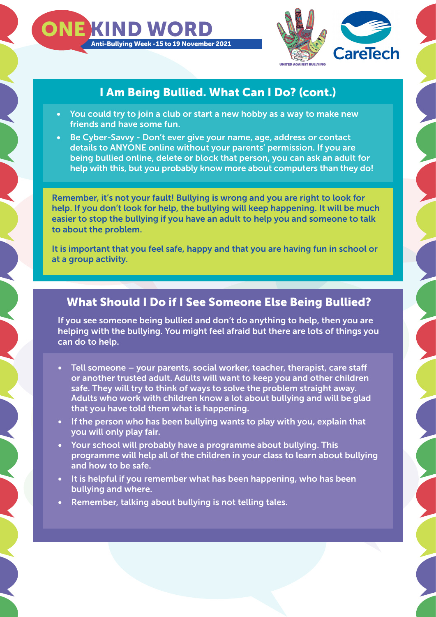



# I Am Being Bullied. What Can I Do? (cont.)

- You could try to join a club or start a new hobby as a way to make new friends and have some fun.
- Be Cyber-Savvy Don't ever give your name, age, address or contact details to ANYONE online without your parents' permission. If you are being bullied online, delete or block that person, you can ask an adult for help with this, but you probably know more about computers than they do!

Remember, it's not your fault! Bullying is wrong and you are right to look for help. If you don't look for help, the bullying will keep happening. It will be much easier to stop the bullying if you have an adult to help you and someone to talk to about the problem.

It is important that you feel safe, happy and that you are having fun in school or at a group activity.

#### What Should I Do if I See Someone Else Being Bullied?

If you see someone being bullied and don't do anything to help, then you are helping with the bullying. You might feel afraid but there are lots of things you can do to help.

- Tell someone your parents, social worker, teacher, therapist, care staff or another trusted adult. Adults will want to keep you and other children safe. They will try to think of ways to solve the problem straight away. Adults who work with children know a lot about bullying and will be glad that you have told them what is happening.
- If the person who has been bullying wants to play with you, explain that you will only play fair.
- Your school will probably have a programme about bullying. This programme will help all of the children in your class to learn about bullying and how to be safe.
- It is helpful if you remember what has been happening, who has been bullying and where.
- Remember, talking about bullying is not telling tales.